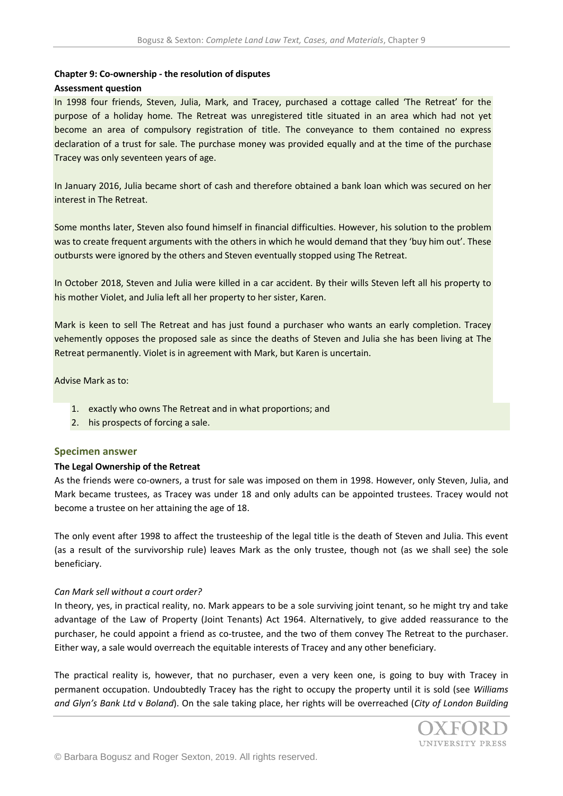### **Chapter 9: Co-ownership - the resolution of disputes**

#### **Assessment question**

In 1998 four friends, Steven, Julia, Mark, and Tracey, purchased a cottage called 'The Retreat' for the purpose of a holiday home. The Retreat was unregistered title situated in an area which had not yet become an area of compulsory registration of title. The conveyance to them contained no express declaration of a trust for sale. The purchase money was provided equally and at the time of the purchase Tracey was only seventeen years of age.

In January 2016, Julia became short of cash and therefore obtained a bank loan which was secured on her interest in The Retreat.

Some months later, Steven also found himself in financial difficulties. However, his solution to the problem was to create frequent arguments with the others in which he would demand that they 'buy him out'. These outbursts were ignored by the others and Steven eventually stopped using The Retreat.

In October 2018, Steven and Julia were killed in a car accident. By their wills Steven left all his property to his mother Violet, and Julia left all her property to her sister, Karen.

Mark is keen to sell The Retreat and has just found a purchaser who wants an early completion. Tracey vehemently opposes the proposed sale as since the deaths of Steven and Julia she has been living at The Retreat permanently. Violet is in agreement with Mark, but Karen is uncertain.

Advise Mark as to:

- 1. exactly who owns The Retreat and in what proportions; and
- 2. his prospects of forcing a sale.

#### **Specimen answer**

#### **The Legal Ownership of the Retreat**

As the friends were co-owners, a trust for sale was imposed on them in 1998. However, only Steven, Julia, and Mark became trustees, as Tracey was under 18 and only adults can be appointed trustees. Tracey would not become a trustee on her attaining the age of 18.

The only event after 1998 to affect the trusteeship of the legal title is the death of Steven and Julia. This event (as a result of the survivorship rule) leaves Mark as the only trustee, though not (as we shall see) the sole beneficiary.

#### *Can Mark sell without a court order?*

In theory, yes, in practical reality, no. Mark appears to be a sole surviving joint tenant, so he might try and take advantage of the Law of Property (Joint Tenants) Act 1964. Alternatively, to give added reassurance to the purchaser, he could appoint a friend as co-trustee, and the two of them convey The Retreat to the purchaser. Either way, a sale would overreach the equitable interests of Tracey and any other beneficiary.

The practical reality is, however, that no purchaser, even a very keen one, is going to buy with Tracey in permanent occupation. Undoubtedly Tracey has the right to occupy the property until it is sold (see *Williams and Glyn's Bank Ltd* v *Boland*). On the sale taking place, her rights will be overreached (*City of London Building* 

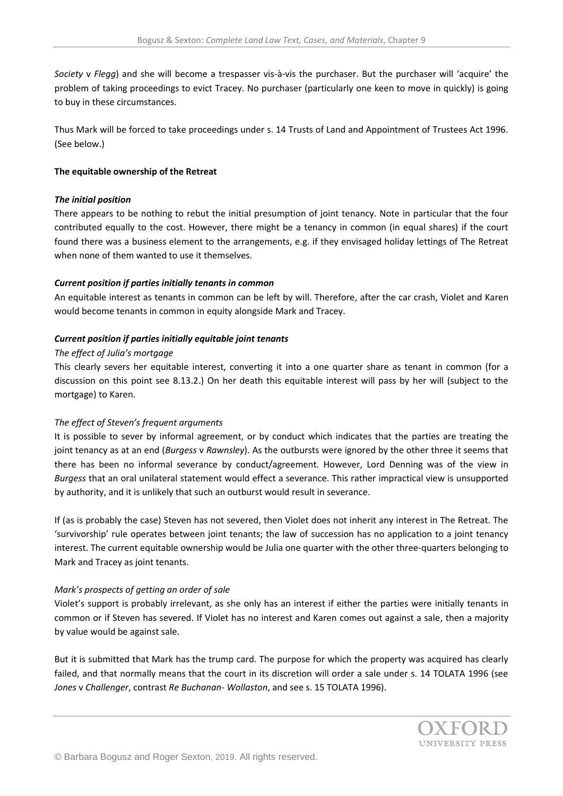*Society* v *Flegg*) and she will become a trespasser vis-à-vis the purchaser. But the purchaser will 'acquire' the problem of taking proceedings to evict Tracey. No purchaser (particularly one keen to move in quickly) is going to buy in these circumstances.

Thus Mark will be forced to take proceedings under s. 14 Trusts of Land and Appointment of Trustees Act 1996. (See below.)

### **The equitable ownership of the Retreat**

### *The initial position*

There appears to be nothing to rebut the initial presumption of joint tenancy. Note in particular that the four contributed equally to the cost. However, there might be a tenancy in common (in equal shares) if the court found there was a business element to the arrangements, e.g. if they envisaged holiday lettings of The Retreat when none of them wanted to use it themselves.

## *Current position if parties initially tenants in common*

An equitable interest as tenants in common can be left by will. Therefore, after the car crash, Violet and Karen would become tenants in common in equity alongside Mark and Tracey.

## *Current position if parties initially equitable joint tenants*

## *The effect of Julia's mortgage*

This clearly severs her equitable interest, converting it into a one quarter share as tenant in common (for a discussion on this point see 8.13.2.) On her death this equitable interest will pass by her will (subject to the mortgage) to Karen.

# *The effect of Steven's frequent arguments*

It is possible to sever by informal agreement, or by conduct which indicates that the parties are treating the joint tenancy as at an end (*Burgess* v *Rawnsley*). As the outbursts were ignored by the other three it seems that there has been no informal severance by conduct/agreement. However, Lord Denning was of the view in *Burgess* that an oral unilateral statement would effect a severance. This rather impractical view is unsupported by authority, and it is unlikely that such an outburst would result in severance.

If (as is probably the case) Steven has not severed, then Violet does not inherit any interest in The Retreat. The 'survivorship' rule operates between joint tenants; the law of succession has no application to a joint tenancy interest. The current equitable ownership would be Julia one quarter with the other three-quarters belonging to Mark and Tracey as joint tenants.

### *Mark's prospects of getting an order of sale*

Violet's support is probably irrelevant, as she only has an interest if either the parties were initially tenants in common or if Steven has severed. If Violet has no interest and Karen comes out against a sale, then a majority by value would be against sale.

But it is submitted that Mark has the trump card. The purpose for which the property was acquired has clearly failed, and that normally means that the court in its discretion will order a sale under s. 14 TOLATA 1996 (see *Jones* v *Challenger*, contrast *Re Buchanan- Wollaston*, and see s. 15 TOLATA 1996).